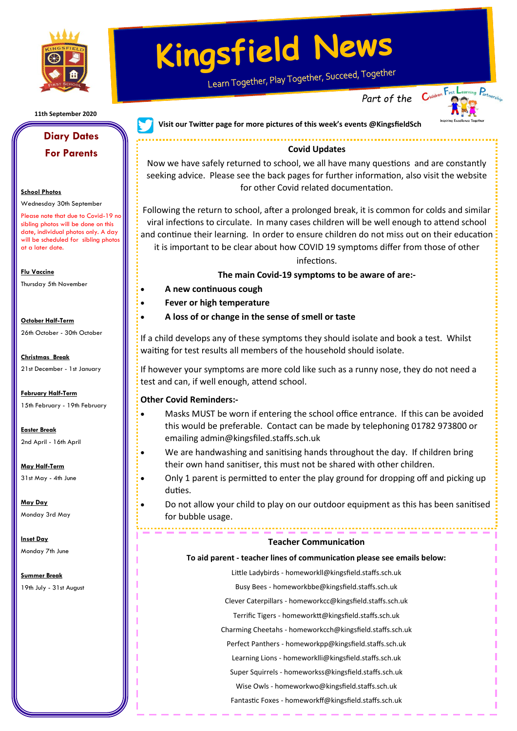

**11th September 2020**

### **Diary Dates For Parents**

#### **School Photos**

Wednesday 30th September

Please note that due to Covid-19 no sibling photos will be done on this date, individual photos only. A day will be scheduled for sibling photos at a later date.

**Flu Vaccine** 

Thursday 5th November

**October Half-Term** 

26th October - 30th October

**Christmas Break**  21st December - 1st January

**February Half-Term** 

15th February - 19th February

**Easter Break**  2nd April - 16th April

**May Half-Term**  31st May - 4th June

**May Day**  Monday 3rd May

**Inset Day** 

Monday 7th June

**Summer Break**  19th July - 31st August

# **Kingsfield News**

Learn Together, Play Together, Succeed, Together

...............................



**Visit our Twitter page for more pictures of this week's events @KingsfieldSch**

#### **Covid Updates**

Now we have safely returned to school, we all have many questions and are constantly seeking advice. Please see the back pages for further information, also visit the website for other Covid related documentation.

Following the return to school, after a prolonged break, it is common for colds and similar viral infections to circulate. In many cases children will be well enough to attend school and continue their learning. In order to ensure children do not miss out on their education it is important to be clear about how COVID 19 symptoms differ from those of other

#### infections.

#### **The main Covid-19 symptoms to be aware of are:-**

- **A new continuous cough**
- **Fever or high temperature**
- **A loss of or change in the sense of smell or taste**

If a child develops any of these symptoms they should isolate and book a test. Whilst waiting for test results all members of the household should isolate.

If however your symptoms are more cold like such as a runny nose, they do not need a test and can, if well enough, attend school.

#### **Other Covid Reminders:-**

- Masks MUST be worn if entering the school office entrance. If this can be avoided this would be preferable. Contact can be made by telephoning 01782 973800 or emailing admin@kingsfiled.staffs.sch.uk
- We are handwashing and sanitising hands throughout the day. If children bring their own hand sanitiser, this must not be shared with other children.
- Only 1 parent is permitted to enter the play ground for dropping off and picking up duties.
- Do not allow your child to play on our outdoor equipment as this has been sanitised for bubble usage.

#### **Teacher Communication**

#### **To aid parent - teacher lines of communication please see emails below:**

Little Ladybirds - homeworkll@kingsfield.staffs.sch.uk

Busy Bees - homeworkbbe@kingsfield.staffs.sch.uk

Clever Caterpillars - homeworkcc@kingsfield.staffs.sch.uk

Terrific Tigers - homeworktt@kingsfield.staffs.sch.uk

Charming Cheetahs - homeworkcch@kingsfield.staffs.sch.uk

Perfect Panthers - homeworkpp@kingsfield.staffs.sch.uk

Learning Lions - homeworklli@kingsfield.staffs.sch.uk

Super Squirrels - homeworkss@kingsfield.staffs.sch.uk

Wise Owls - homeworkwo@kingsfield.staffs.sch.uk

Fantastic Foxes - homeworkff@kingsfield.staffs.sch.uk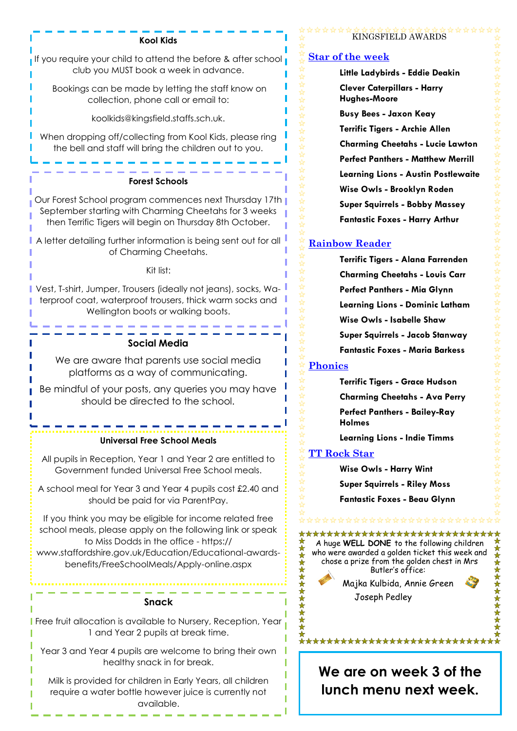#### **Kool Kids**

If you require your child to attend the before & after school club you MUST book a week in advance.

Bookings can be made by letting the staff know on collection, phone call or email to:

koolkids@kingsfield.staffs.sch.uk.

When dropping off/collecting from Kool Kids, please ring the bell and staff will bring the children out to you.

#### **Forest Schools**

Our Forest School program commences next Thursday 17th September starting with Charming Cheetahs for 3 weeks then Terrific Tigers will begin on Thursday 8th October.

A letter detailing further information is being sent out for all of Charming Cheetahs.

#### Kit list:

Vest, T-shirt, Jumper, Trousers (ideally not jeans), socks, Waterproof coat, waterproof trousers, thick warm socks and Wellington boots or walking boots.

#### **Social Media**

We are aware that parents use social media platforms as a way of communicating.

Be mindful of your posts, any queries you may have should be directed to the school.

#### **Universal Free School Meals**

All pupils in Reception, Year 1 and Year 2 are entitled to Government funded Universal Free School meals.

A school meal for Year 3 and Year 4 pupils cost £2.40 and should be paid for via ParentPay.

If you think you may be eligible for income related free school meals, please apply on the following link or speak to Miss Dodds in the office - https:// www.staffordshire.gov.uk/Education/Educational-awardsbenefits/FreeSchoolMeals/Apply-online.aspx

#### **Snack**

Free fruit allocation is available to Nursery, Reception, Year 1 and Year 2 pupils at break time.

Year 3 and Year 4 pupils are welcome to bring their own healthy snack in for break.

Milk is provided for children in Early Years, all children require a water bottle however juice is currently not available.

#### KINGSFIELD AWARDS

#### **Star of the week**

**Little Ladybirds - Eddie Deakin Clever Caterpillars - Harry Hughes-Moore Busy Bees - Jaxon Keay Terrific Tigers - Archie Allen Charming Cheetahs - Lucie Lawton Perfect Panthers - Matthew Merrill**

**Learning Lions - Austin Postlewaite Wise Owls - Brooklyn Roden Super Squirrels - Bobby Massey Fantastic Foxes - Harry Arthur**

#### **Rainbow Reader**

 **Terrific Tigers - Alana Farrenden Charming Cheetahs - Louis Carr Perfect Panthers - Mia Glynn Learning Lions - Dominic Latham Wise Owls - Isabelle Shaw Super Squirrels - Jacob Stanway Fantastic Foxes - Maria Barkess**

#### **Phonics**

 **Terrific Tigers - Grace Hudson Charming Cheetahs - Ava Perry Perfect Panthers - Bailey-Ray Holmes**

**Learning Lions - Indie Timms**

#### **TT Rock Star**

**Wise Owls - Harry Wint Super Squirrels - Riley Moss Fantastic Foxes - Beau Glynn**

## 

\*\*\*\*\*\*\*\*\*\*\*\*\*\*\*\*\*\*\*\*\*\*\*\*\* A huge **WELL DONE** to the following children who were awarded a golden ticket this week and chose a prize from the golden chest in Mrs Butler's office:



Joseph Pedley



\*\*\*\*\*\*\*\*\*\*\*\*\*\*\*\*\*\*\*\*\*\*\*\*

**We are on week 3 of the lunch menu next week.**